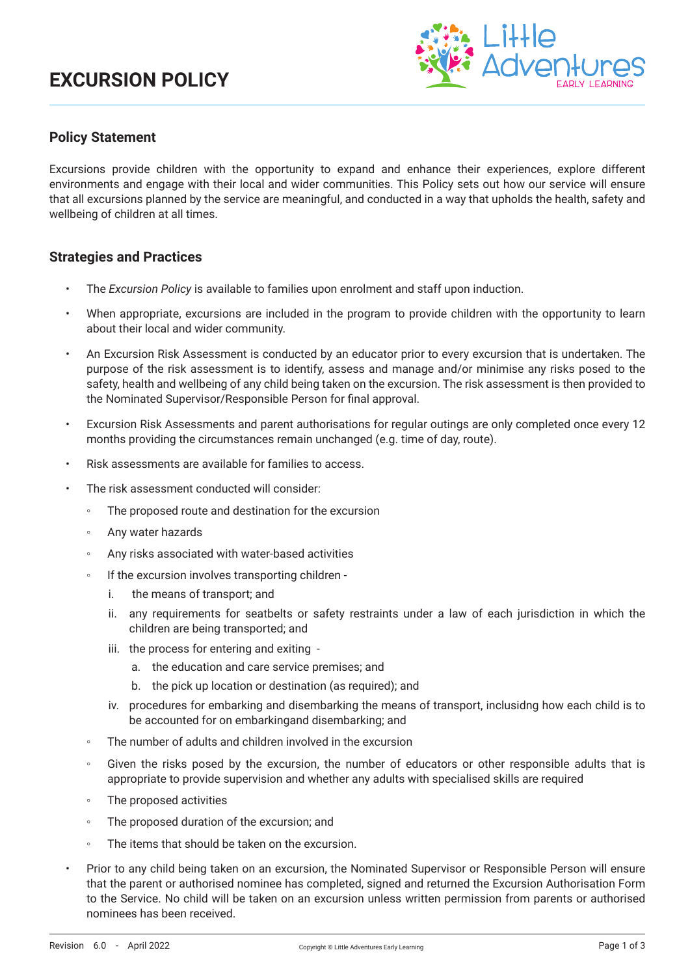# **EXCURSION POLICY**



### **Policy Statement**

Excursions provide children with the opportunity to expand and enhance their experiences, explore different environments and engage with their local and wider communities. This Policy sets out how our service will ensure that all excursions planned by the service are meaningful, and conducted in a way that upholds the health, safety and wellbeing of children at all times.

### **Strategies and Practices**

- The *Excursion Policy* is available to families upon enrolment and staff upon induction.
- When appropriate, excursions are included in the program to provide children with the opportunity to learn about their local and wider community.
- An Excursion Risk Assessment is conducted by an educator prior to every excursion that is undertaken. The purpose of the risk assessment is to identify, assess and manage and/or minimise any risks posed to the safety, health and wellbeing of any child being taken on the excursion. The risk assessment is then provided to the Nominated Supervisor/Responsible Person for final approval.
- Excursion Risk Assessments and parent authorisations for regular outings are only completed once every 12 months providing the circumstances remain unchanged (e.g. time of day, route).
- Risk assessments are available for families to access.
- The risk assessment conducted will consider:
	- The proposed route and destination for the excursion
	- Any water hazards
	- Any risks associated with water-based activities
	- If the excursion involves transporting children
		- i. the means of transport; and
		- ii. any requirements for seatbelts or safety restraints under a law of each jurisdiction in which the children are being transported; and
		- iii. the process for entering and exiting
			- a. the education and care service premises; and
			- b. the pick up location or destination (as required); and
		- iv. procedures for embarking and disembarking the means of transport, inclusidng how each child is to be accounted for on embarkingand disembarking; and
	- The number of adults and children involved in the excursion
	- Given the risks posed by the excursion, the number of educators or other responsible adults that is appropriate to provide supervision and whether any adults with specialised skills are required
	- The proposed activities
	- The proposed duration of the excursion; and
	- The items that should be taken on the excursion.
- Prior to any child being taken on an excursion, the Nominated Supervisor or Responsible Person will ensure that the parent or authorised nominee has completed, signed and returned the Excursion Authorisation Form to the Service. No child will be taken on an excursion unless written permission from parents or authorised nominees has been received.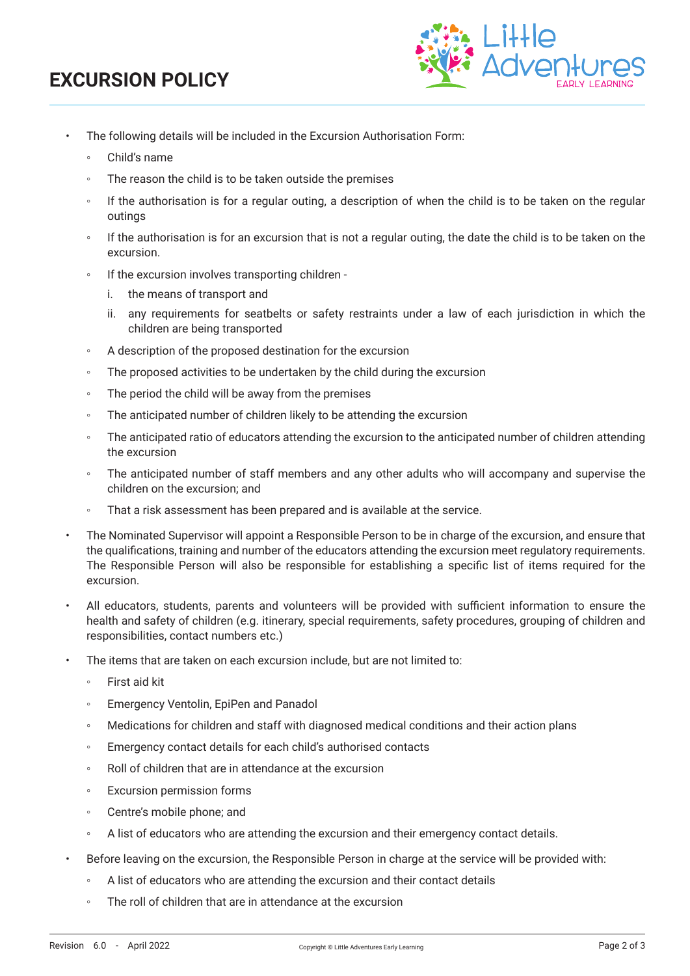# **EXCURSION POLICY**



- The following details will be included in the Excursion Authorisation Form:
	- Child's name
	- The reason the child is to be taken outside the premises
	- If the authorisation is for a regular outing, a description of when the child is to be taken on the regular outings
	- If the authorisation is for an excursion that is not a regular outing, the date the child is to be taken on the excursion.
	- If the excursion involves transporting children
		- i. the means of transport and
		- ii. any requirements for seatbelts or safety restraints under a law of each jurisdiction in which the children are being transported
	- A description of the proposed destination for the excursion
	- The proposed activities to be undertaken by the child during the excursion
	- The period the child will be away from the premises
	- The anticipated number of children likely to be attending the excursion
	- The anticipated ratio of educators attending the excursion to the anticipated number of children attending the excursion
	- The anticipated number of staff members and any other adults who will accompany and supervise the children on the excursion; and
	- That a risk assessment has been prepared and is available at the service.
- The Nominated Supervisor will appoint a Responsible Person to be in charge of the excursion, and ensure that the qualifications, training and number of the educators attending the excursion meet regulatory requirements. The Responsible Person will also be responsible for establishing a specific list of items required for the excursion.
- All educators, students, parents and volunteers will be provided with sufficient information to ensure the health and safety of children (e.g. itinerary, special requirements, safety procedures, grouping of children and responsibilities, contact numbers etc.)
- The items that are taken on each excursion include, but are not limited to:
	- First aid kit
	- Emergency Ventolin, EpiPen and Panadol
	- Medications for children and staff with diagnosed medical conditions and their action plans
	- Emergency contact details for each child's authorised contacts
	- Roll of children that are in attendance at the excursion
	- Excursion permission forms
	- Centre's mobile phone; and
	- A list of educators who are attending the excursion and their emergency contact details.
- Before leaving on the excursion, the Responsible Person in charge at the service will be provided with:
	- A list of educators who are attending the excursion and their contact details
	- The roll of children that are in attendance at the excursion